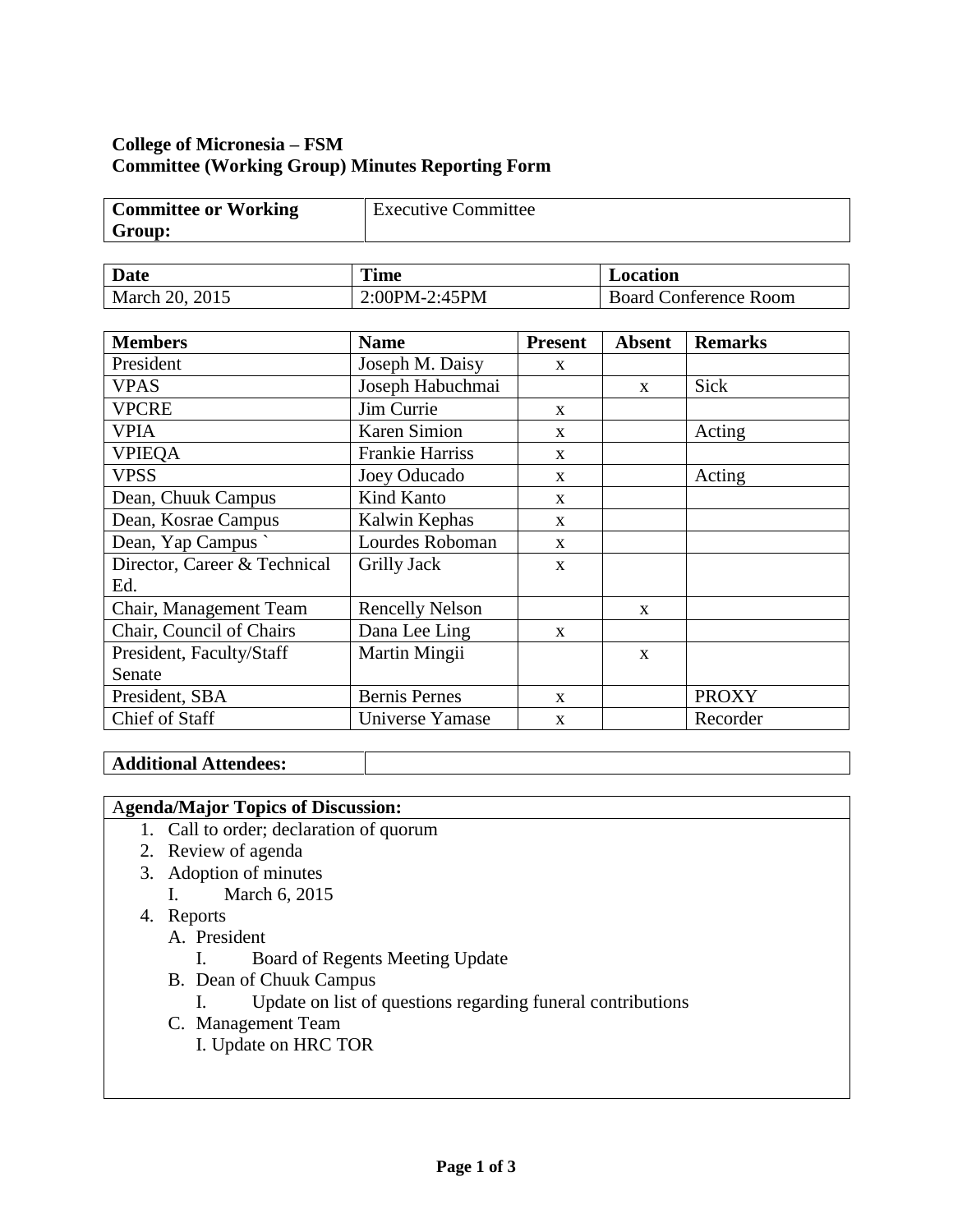# **College of Micronesia – FSM Committee (Working Group) Minutes Reporting Form**

| <b>Committee or Working</b> | <b>Executive Committee</b> |
|-----------------------------|----------------------------|
| Group:                      |                            |

| Date           | <b>Time</b>   | Location                     |  |
|----------------|---------------|------------------------------|--|
| March 20, 2015 | 2:00PM-2:45PM | <b>Board Conference Room</b> |  |

| <b>Members</b>               | <b>Name</b>            | <b>Present</b> | <b>Absent</b> | <b>Remarks</b> |
|------------------------------|------------------------|----------------|---------------|----------------|
| President                    | Joseph M. Daisy        | X              |               |                |
| <b>VPAS</b>                  | Joseph Habuchmai       |                | $\mathbf{x}$  | Sick           |
| <b>VPCRE</b>                 | Jim Currie             | X              |               |                |
| <b>VPIA</b>                  | <b>Karen Simion</b>    | X              |               | Acting         |
| <b>VPIEQA</b>                | <b>Frankie Harriss</b> | X              |               |                |
| <b>VPSS</b>                  | Joey Oducado           | $\mathbf{x}$   |               | Acting         |
| Dean, Chuuk Campus           | Kind Kanto             | $\mathbf{X}$   |               |                |
| Dean, Kosrae Campus          | Kalwin Kephas          | $\mathbf{X}$   |               |                |
| Dean, Yap Campus             | Lourdes Roboman        | $\mathbf{X}$   |               |                |
| Director, Career & Technical | Grilly Jack            | X              |               |                |
| Ed.                          |                        |                |               |                |
| Chair, Management Team       | <b>Rencelly Nelson</b> |                | $\mathbf{X}$  |                |
| Chair, Council of Chairs     | Dana Lee Ling          | $\mathbf{x}$   |               |                |
| President, Faculty/Staff     | Martin Mingii          |                | X             |                |
| Senate                       |                        |                |               |                |
| President, SBA               | <b>Bernis Pernes</b>   | $\mathbf{x}$   |               | <b>PROXY</b>   |
| Chief of Staff               | Universe Yamase        | X              |               | Recorder       |

# **Additional Attendees:**

# A**genda/Major Topics of Discussion:**

- 1. Call to order; declaration of quorum
- 2. Review of agenda
- 3. Adoption of minutes
	- I. March 6, 2015
- 4. Reports
	- A. President
		- I. Board of Regents Meeting Update
	- B. Dean of Chuuk Campus
		- I. Update on list of questions regarding funeral contributions
	- C. Management Team
		- I. Update on HRC TOR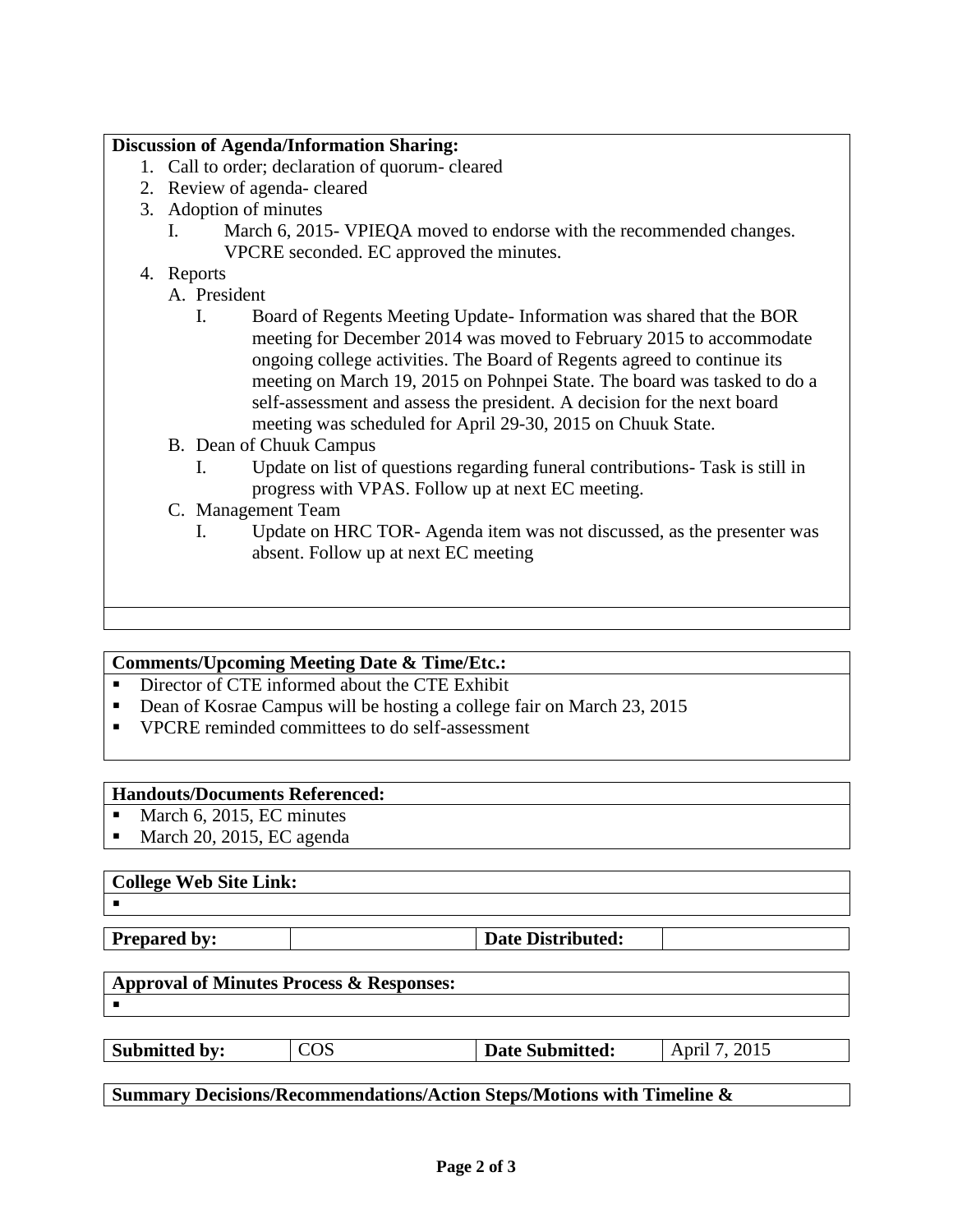### **Discussion of Agenda/Information Sharing:**

- 1. Call to order; declaration of quorum- cleared
- 2. Review of agenda- cleared
- 3. Adoption of minutes
	- I. March 6, 2015- VPIEQA moved to endorse with the recommended changes. VPCRE seconded. EC approved the minutes.
- 4. Reports
	- A. President
		- I. Board of Regents Meeting Update- Information was shared that the BOR meeting for December 2014 was moved to February 2015 to accommodate ongoing college activities. The Board of Regents agreed to continue its meeting on March 19, 2015 on Pohnpei State. The board was tasked to do a self-assessment and assess the president. A decision for the next board meeting was scheduled for April 29-30, 2015 on Chuuk State.
	- B. Dean of Chuuk Campus
		- I. Update on list of questions regarding funeral contributions- Task is still in progress with VPAS. Follow up at next EC meeting.
	- C. Management Team
		- I. Update on HRC TOR- Agenda item was not discussed, as the presenter was absent. Follow up at next EC meeting

#### **Comments/Upcoming Meeting Date & Time/Etc.:**

- Director of CTE informed about the CTE Exhibit
- Dean of Kosrae Campus will be hosting a college fair on March 23, 2015
- VPCRE reminded committees to do self-assessment

#### **Handouts/Documents Referenced:**

- $March 6, 2015, EC minutes$
- March 20, 2015, EC agenda

#### **College Web Site Link:**

 $\blacksquare$ 

**Prepared by:**  $\qquad$  **Date Distributed:** 

# **Approval of Minutes Process & Responses:**

**Submitted by:**  $\begin{array}{|c|c|c|c|c|} \hline \textbf{COS} & \textbf{Date Submitted:} & \textbf{April 7, 2015} \hline \end{array}$ 

**Summary Decisions/Recommendations/Action Steps/Motions with Timeline &**